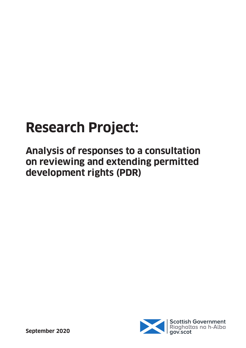# **Research Project:**

**Analysis of responses to a consultation on reviewing and extending permitted development rights (PDR)**

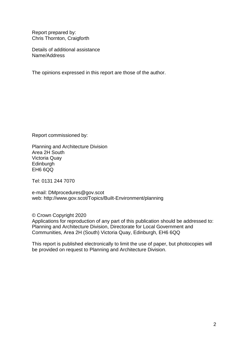Report prepared by: Chris Thornton, Craigforth

Details of additional assistance Name/Address

The opinions expressed in this report are those of the author.

Report commissioned by:

Planning and Architecture Division Area 2H South Victoria Quay Edinburgh EH6 6QQ

Tel: 0131 244 7070

e-mail: DMprocedures@gov.scot web: http://www.gov.scot/Topics/Built-Environment/planning

© Crown Copyright 2020 Applications for reproduction of any part of this publication should be addressed to: Planning and Architecture Division, Directorate for Local Government and Communities, Area 2H (South) Victoria Quay, Edinburgh, EH6 6QQ

This report is published electronically to limit the use of paper, but photocopies will be provided on request to Planning and Architecture Division.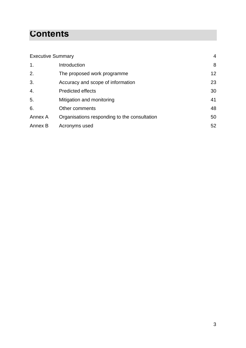### **Contents**

| <b>Executive Summary</b> |                                              | $\overline{4}$ |
|--------------------------|----------------------------------------------|----------------|
| $\mathbf 1$ .            | Introduction                                 | 8              |
| 2.                       | The proposed work programme                  | 12             |
| 3.                       | Accuracy and scope of information            | 23             |
| 4.                       | <b>Predicted effects</b>                     | 30             |
| 5.                       | Mitigation and monitoring                    | 41             |
| 6.                       | Other comments                               | 48             |
| Annex A                  | Organisations responding to the consultation | 50             |
| Annex B                  | Acronyms used                                | 52             |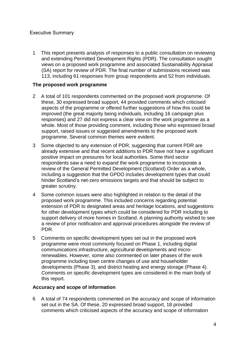#### Executive Summary

1 This report presents analysis of responses to a public consultation on reviewing and extending Permitted Development Rights (PDR). The consultation sought views on a proposed work programme and associated Sustainability Appraisal (SA) report for review of PDR. The final number of submissions received was 113, including 61 responses from group respondents and 52 from individuals.

#### **The proposed work programme**

- 2 A total of 101 respondents commented on the proposed work programme. Of these, 30 expressed broad support, 44 provided comments which criticised aspects of the programme or offered further suggestions of how this could be improved (the great majority being individuals, including 16 campaign plus responses) and 27 did not express a clear view on the work programme as a whole. Most of those providing comment, including those who expressed broad support, raised issues or suggested amendments to the proposed work programme. Several common themes were evident.
- 3 Some objected to any extension of PDR, suggesting that current PDR are already extensive and that recent additions to PDR have not have a significant positive impact on pressures for local authorities. Some third sector respondents saw a need to expand the work programme to incorporate a review of the General Permitted Development (Scotland) Order as a whole, including a suggestion that the GPDO includes development types that could hinder Scotland's net-zero emissions targets and that should be subject to greater scrutiny.
- 4 Some common issues were also highlighted in relation to the detail of the proposed work programme. This included concerns regarding potential extension of PDR to designated areas and heritage locations, and suggestions for other development types which could be considered for PDR including to support delivery of more homes in Scotland. A planning authority wished to see a review of prior notification and approval procedures alongside the review of PDR.
- 5 Comments on specific development types set out in the proposed work programme were most commonly focused on Phase 1, including digital communications infrastructure, agricultural developments and microrenewables. However, some also commented on later phases of the work programme including town centre changes of use and householder developments (Phase 3), and district heating and energy storage (Phase 4). Comments on specific development types are considered in the main body of this report.

#### **Accuracy and scope of information**

6 A total of 74 respondents commented on the accuracy and scope of information set out in the SA. Of these, 20 expressed broad support, 18 provided comments which criticised aspects of the accuracy and scope of information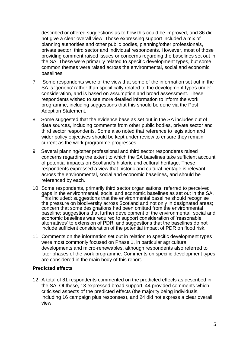described or offered suggestions as to how this could be improved, and 36 did not give a clear overall view. Those expressing support included a mix of planning authorities and other public bodies, planning/other professionals, private sector, third sector and individual respondents. However, most of those providing comment raised issues or concerns regarding the baselines set out in the SA. These were primarily related to specific development types, but some common themes were raised across the environmental, social and economic baselines.

- 7 Some respondents were of the view that some of the information set out in the SA is 'generic' rather than specifically related to the development types under consideration, and is based on assumption and broad assessment. These respondents wished to see more detailed information to inform the work programme, including suggestions that this should be done via the Post Adoption Statement.
- 8 Some suggested that the evidence base as set out in the SA includes out of data sources, including comments from other public bodies, private sector and third sector respondents. Some also noted that reference to legislation and wider policy objectives should be kept under review to ensure they remain current as the work programme progresses.
- 9 Several planning/other professional and third sector respondents raised concerns regarding the extent to which the SA baselines take sufficient account of potential impacts on Scotland's historic and cultural heritage. These respondents expressed a view that historic and cultural heritage is relevant across the environmental, social and economic baselines, and should be referenced by each.
- 10 Some respondents, primarily third sector organisations, referred to perceived gaps in the environmental, social and economic baselines as set out in the SA. This included: suggestions that the environmental baseline should recognise the pressure on biodiversity across Scotland and not only in designated areas; concern that some designations had been omitted from the environmental baseline; suggestions that further development of the environmental, social and economic baselines was required to support consideration of 'reasonable alternatives' to extension of PDR; and suggestions that the baselines do not include sufficient consideration of the potential impact of PDR on flood risk.
- 11 Comments on the information set out in relation to specific development types were most commonly focused on Phase 1, in particular agricultural developments and micro-renewables, although respondents also referred to later phases of the work programme. Comments on specific development types are considered in the main body of this report.

#### **Predicted effects**

12 A total of 81 respondents commented on the predicted effects as described in the SA. Of these, 13 expressed broad support, 44 provided comments which criticised aspects of the predicted effects (the majority being individuals, including 16 campaign plus responses), and 24 did not express a clear overall view.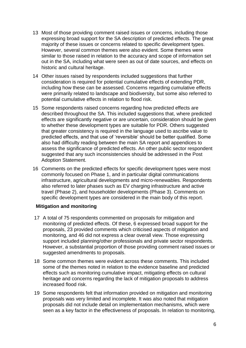- 13 Most of those providing comment raised issues or concerns, including those expressing broad support for the SA description of predicted effects. The great majority of these issues or concerns related to specific development types. However, several common themes were also evident. Some themes were similar to those raised in relation to the accuracy and scope of information set out in the SA, including what were seen as out of date sources, and effects on historic and cultural heritage.
- 14 Other issues raised by respondents included suggestions that further consideration is required for potential cumulative effects of extending PDR, including how these can be assessed. Concerns regarding cumulative effects were primarily related to landscape and biodiversity, but some also referred to potential cumulative effects in relation to flood risk.
- 15 Some respondents raised concerns regarding how predicted effects are described throughout the SA. This included suggestions that, where predicted effects are significantly negative or are uncertain, consideration should be given to whether these development types are suitable for PDR. Others suggested that greater consistency is required in the language used to ascribe value to predicted effects, and that use of 'reversible' should be better qualified. Some also had difficulty reading between the main SA report and appendices to assess the significance of predicted effects. An other public sector respondent suggested that any such inconsistencies should be addressed in the Post Adoption Statement.
- 16 Comments on the predicted effects for specific development types were most commonly focused on Phase 1, and in particular digital communications infrastructure, agricultural developments and micro-renewables. Respondents also referred to later phases such as EV charging infrastructure and active travel (Phase 2), and householder developments (Phase 3). Comments on specific development types are considered in the main body of this report.

#### **Mitigation and monitoring**

- 17 A total of 75 respondents commented on proposals for mitigation and monitoring of predicted effects. Of these, 6 expressed broad support for the proposals, 23 provided comments which criticised aspects of mitigation and monitoring, and 46 did not express a clear overall view. Those expressing support included planning/other professionals and private sector respondents. However, a substantial proportion of those providing comment raised issues or suggested amendments to proposals.
- 18 Some common themes were evident across these comments. This included some of the themes noted in relation to the evidence baseline and predicted effects such as monitoring cumulative impact, mitigating effects on cultural heritage and concerns regarding the lack of mitigation proposals to address increased flood risk.
- 19 Some respondents felt that information provided on mitigation and monitoring proposals was very limited and incomplete. It was also noted that mitigation proposals did not include detail on implementation mechanisms, which were seen as a key factor in the effectiveness of proposals. In relation to monitoring,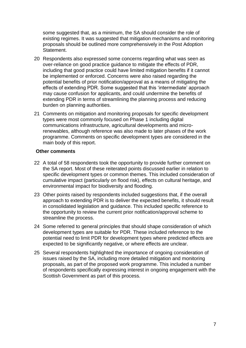some suggested that, as a minimum, the SA should consider the role of existing regimes. It was suggested that mitigation mechanisms and monitoring proposals should be outlined more comprehensively in the Post Adoption Statement.

- 20 Respondents also expressed some concerns regarding what was seen as over-reliance on good practice guidance to mitigate the effects of PDR, including that good practice could have limited mitigation benefits if it cannot be implemented or enforced. Concerns were also raised regarding the potential benefits of prior notification/approval as a means of mitigating the effects of extending PDR. Some suggested that this 'intermediate' approach may cause confusion for applicants, and could undermine the benefits of extending PDR in terms of streamlining the planning process and reducing burden on planning authorities.
- 21 Comments on mitigation and monitoring proposals for specific development types were most commonly focused on Phase 1 including digital communications infrastructure, agricultural developments and microrenewables, although reference was also made to later phases of the work programme. Comments on specific development types are considered in the main body of this report.

#### **Other comments**

- 22 A total of 58 respondents took the opportunity to provide further comment on the SA report. Most of these reiterated points discussed earlier in relation to specific development types or common themes. This included consideration of cumulative impact (particularly on flood risk), effects on cultural heritage, and environmental impact for biodiversity and flooding.
- 23 Other points raised by respondents included suggestions that, if the overall approach to extending PDR is to deliver the expected benefits, it should result in consolidated legislation and guidance. This included specific reference to the opportunity to review the current prior notification/approval scheme to streamline the process.
- 24 Some referred to general principles that should shape consideration of which development types are suitable for PDR. These included reference to the potential need to limit PDR for development types where predicted effects are expected to be significantly negative, or where effects are unclear.
- 25 Several respondents highlighted the importance of ongoing consideration of issues raised by the SA, including more detailed mitigation and monitoring proposals, as part of the proposed work programme. This included a number of respondents specifically expressing interest in ongoing engagement with the Scottish Government as part of this process.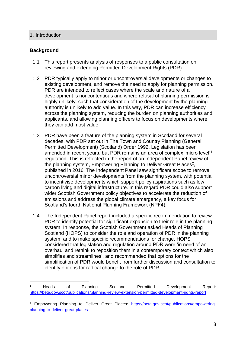#### 1. Introduction

#### **Background**

1

- 1.1 This report presents analysis of responses to a public consultation on reviewing and extending Permitted Development Rights (PDR).
- 1.2 PDR typically apply to minor or uncontroversial developments or changes to existing development, and remove the need to apply for planning permission. PDR are intended to reflect cases where the scale and nature of a development is noncontentious and where refusal of planning permission is highly unlikely, such that consideration of the development by the planning authority is unlikely to add value. In this way, PDR can increase efficiency across the planning system, reducing the burden on planning authorities and applicants, and allowing planning officers to focus on developments where they can add most value.
- 1.3 PDR have been a feature of the planning system in Scotland for several decades, with PDR set out in The Town and Country Planning (General Permitted Development) (Scotland) Order 1992. Legislation has been amended in recent years, but PDR remains an area of complex 'micro level'<sup>1</sup> regulation. This is reflected in the report of an Independent Panel review of the planning system, Empowering Planning to Deliver Great Places<sup>2</sup>, published in 2016. The Independent Panel saw significant scope to remove uncontroversial minor developments from the planning system, with potential to incentivise developments which support policy aspirations such as low carbon living and digital infrastructure. In this regard PDR could also support wider Scottish Government policy objectives to accelerate the reduction of emissions and address the global climate emergency, a key focus for Scotland's fourth National Planning Framework (NPF4).
- 1.4 The Independent Panel report included a specific recommendation to review PDR to identify potential for significant expansion to their role in the planning system. In response, the Scottish Government asked Heads of Planning Scotland (HOPS) to consider the role and operation of PDR in the planning system, and to make specific recommendations for change. HOPS considered that legislation and regulation around PDR were 'in need of an overhaul and rethink to reposition them in a contemporary context which also simplifies and streamlines', and recommended that options for the simplification of PDR would benefit from further discussion and consultation to identify options for radical change to the role of PDR.

<sup>1</sup> Heads of Planning Scotland Permitted Development Report: <https://beta.gov.scot/publications/planning-review-extension-permitted-development-rights-report>

<sup>2</sup> Empowering Planning to Deliver Great Places: [https://beta.gov.scot/publications/empowering](https://beta.gov.scot/publications/empowering-planning-to-deliver-great-places)[planning-to-deliver-great-places](https://beta.gov.scot/publications/empowering-planning-to-deliver-great-places)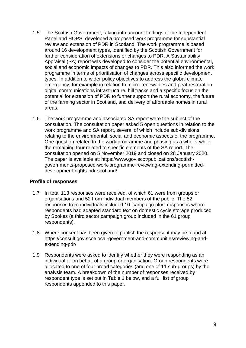- 1.5 The Scottish Government, taking into account findings of the Independent Panel and HOPS, developed a proposed work programme for substantial review and extension of PDR in Scotland. The work programme is based around 16 development types, identified by the Scottish Government for further consideration of extensions or changes to PDR. A Sustainability Appraisal (SA) report was developed to consider the potential environmental, social and economic impacts of changes to PDR. This also informed the work programme in terms of prioritisation of changes across specific development types. In addition to wider policy objectives to address the global climate emergency; for example in relation to micro-renewables and peat restoration, digital communications infrastructure, hill tracks and a specific focus on the potential for extension of PDR to further support the rural economy, the future of the farming sector in Scotland, and delivery of affordable homes in rural areas.
- 1.6 The work programme and associated SA report were the subject of the consultation. The consultation paper asked 5 open questions in relation to the work programme and SA report, several of which include sub-divisions relating to the environmental, social and economic aspects of the programme. One question related to the work programme and phasing as a whole, while the remaining four related to specific elements of the SA report. The consultation opened on 5 November 2019 and closed on 28 January 2020. The paper is available at: https://www.gov.scot/publications/scottishgovernments-proposed-work-programme-reviewing-extending-permitteddevelopment-rights-pdr-scotland/

#### **Profile of responses**

- 1.7 In total 113 responses were received, of which 61 were from groups or organisations and 52 from individual members of the public. The 52 responses from individuals included 16 'campaign plus' responses where respondents had adapted standard text on domestic cycle storage produced by Spokes (a third sector campaign group included in the 61 group respondents).
- 1.8 Where consent has been given to publish the response it may be found at https://consult.gov.scot/local-government-and-communities/reviewing-andextending-pdr/
- 1.9 Respondents were asked to identify whether they were responding as an individual or on behalf of a group or organisation. Group respondents were allocated to one of four broad categories (and one of 11 sub-groups) by the analysis team. A breakdown of the number of responses received by respondent type is set out in Table 1 below, and a full list of group respondents appended to this paper.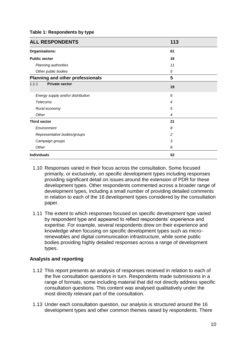|  | Table 1: Respondents by type |  |
|--|------------------------------|--|
|--|------------------------------|--|

| <b>ALL RESPONDENTS</b>                  | 113 |
|-----------------------------------------|-----|
| <b>Organisations:</b>                   | 61  |
| <b>Public sector</b>                    | 16  |
| <b>Planning authorities</b>             | 11  |
| Other public bodies                     | 5   |
| <b>Planning and other professionals</b> | 5   |
| 1.1.1<br><b>Private sector</b>          | 19  |
| Energy supply and/or distribution       | 6   |
| <b>Telecoms</b>                         | 4   |
| Rural economy                           | 5   |
| Other                                   | 4   |
| <b>Third sector</b>                     | 21  |
| Environment                             | 8   |
| Representative bodies/groups            | 2   |
| Campaign groups                         | 3   |
| Other                                   | 8   |
| <b>Individuals</b>                      | 52  |

- 1.10 Responses varied in their focus across the consultation. Some focused primarily, or exclusively, on specific development types including responses providing significant detail on issues around the extension of PDR for these development types. Other respondents commented across a broader range of development types, including a small number of providing detailed comments in relation to each of the 16 development types considered by the consultation paper.
- 1.11 The extent to which responses focused on specific development type varied by respondent type and appeared to reflect respondents' experience and expertise. For example, several respondents drew on their experience and knowledge when focusing on specific development types such as microrenewables and digital communication infrastructure, while some public bodies providing highly detailed responses across a range of development types.

#### **Analysis and reporting**

- 1.12 This report presents an analysis of responses received in relation to each of the five consultation questions in turn. Respondents made submissions in a range of formats, some including material that did not directly address specific consultation questions. This content was analysed qualitatively under the most directly relevant part of the consultation.
- 1.13 Under each consultation question, our analysis is structured around the 16 development types and other common themes raised by respondents. There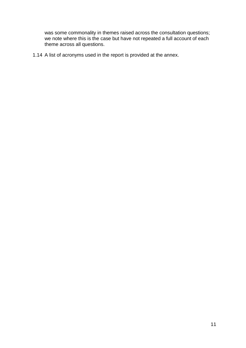was some commonality in themes raised across the consultation questions; we note where this is the case but have not repeated a full account of each theme across all questions.

1.14 A list of acronyms used in the report is provided at the annex.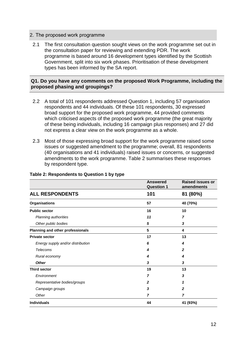- 2. The proposed work programme
	- 2.1 The first consultation question sought views on the work programme set out in the consultation paper for reviewing and extending PDR. The work programme is based around 16 development types identified by the Scottish Government, split into six work phases. Prioritisation of these development types has been informed by the SA report.

#### **Q1. Do you have any comments on the proposed Work Programme, including the proposed phasing and groupings?**

- 2.2 A total of 101 respondents addressed Question 1, including 57 organisation respondents and 44 individuals. Of these 101 respondents, 30 expressed broad support for the proposed work programme, 44 provided comments which criticised aspects of the proposed work programme (the great majority of these being individuals, including 16 campaign plus responses) and 27 did not express a clear view on the work programme as a whole.
- 2.3 Most of those expressing broad support for the work programme raised some issues or suggested amendment to the programme; overall, 81 respondents (40 organisations and 41 individuals) raised issues or concerns, or suggested amendments to the work programme. Table 2 summarises these responses by respondent type.

|                                   | <b>Answered</b><br><b>Question 1</b> | <b>Raised issues or</b><br>amendments |
|-----------------------------------|--------------------------------------|---------------------------------------|
| <b>ALL RESPONDENTS</b>            | 101                                  | 81 (80%)                              |
| <b>Organisations</b>              | 57                                   | 40 (70%)                              |
| <b>Public sector</b>              | 16                                   | 10                                    |
| Planning authorities              | 11                                   | 7                                     |
| Other public bodies               | 5                                    | 3                                     |
| Planning and other professionals  | 5                                    | 4                                     |
| <b>Private sector</b>             | 17                                   | 13                                    |
| Energy supply and/or distribution | 6                                    | 4                                     |
| Telecoms                          | 4                                    | $\mathbf{2}$                          |
| Rural economy                     | 4                                    | 4                                     |
| <b>Other</b>                      | 3                                    | 3                                     |
| <b>Third sector</b>               | 19                                   | 13                                    |
| Environment                       | $\overline{z}$                       | 3                                     |
| Representative bodies/groups      | 2                                    | 1                                     |
| Campaign groups                   | 3                                    | $\mathbf{2}$                          |
| Other                             | 7                                    | 7                                     |
| <b>Individuals</b>                | 44                                   | 41 (93%)                              |

#### **Table 2: Respondents to Question 1 by type**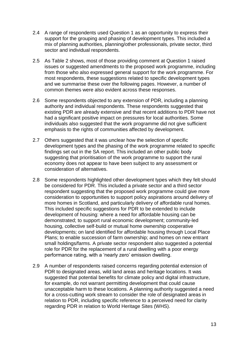- 2.4 A range of respondents used Question 1 as an opportunity to express their support for the grouping and phasing of development types. This included a mix of planning authorities, planning/other professionals, private sector, third sector and individual respondents.
- 2.5 As Table 2 shows, most of those providing comment at Question 1 raised issues or suggested amendments to the proposed work programme, including from those who also expressed general support for the work programme. For most respondents, these suggestions related to specific development types and we summarise these over the following pages. However, a number of common themes were also evident across these responses.
- 2.6 Some respondents objected to any extension of PDR, including a planning authority and individual respondents. These respondents suggested that existing PDR are already extensive and that recent additions to PDR have not had a significant positive impact on pressures for local authorities. Some individuals also suggested that the work programme did not give sufficient emphasis to the rights of communities affected by development.
- 2.7 Others suggested that it was unclear how the selection of specific development types and the phasing of the work programme related to specific findings set out in the SA report. This included an other public body suggesting that prioritisation of the work programme to support the rural economy does not appear to have been subject to any assessment or consideration of alternatives.
- 2.8 Some respondents highlighted other development types which they felt should be considered for PDR. This included a private sector and a third sector respondent suggesting that the proposed work programme could give more consideration to opportunities to support policy aspirations around delivery of more homes in Scotland, and particularly delivery of affordable rural homes. This included specific suggestions for PDR to be extended to include development of housing: where a need for affordable housing can be demonstrated; to support rural economic development; community-led housing, collective self-build or mutual home ownership cooperative developments; on land identified for affordable housing through Local Place Plans; to enable succession of farm ownership; and homes on new entrant small holdings/farms. A private sector respondent also suggested a potential role for PDR for the replacement of a rural dwelling with a poor energy performance rating, with a 'nearly zero' emission dwelling.
- 2.9 A number of respondents raised concerns regarding potential extension of PDR to designated areas, wild land areas and heritage locations. It was suggested that potential benefits for climate policy and digital infrastructure, for example, do not warrant permitting development that could cause unacceptable harm to these locations. A planning authority suggested a need for a cross-cutting work stream to consider the role of designated areas in relation to PDR, including specific reference to a perceived need for clarity regarding PDR in relation to World Heritage Sites (WHS).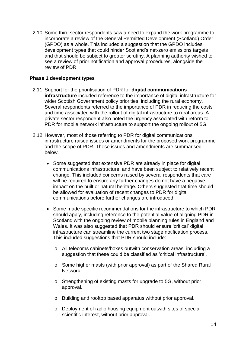2.10 Some third sector respondents saw a need to expand the work programme to incorporate a review of the General Permitted Development (Scotland) Order (GPDO) as a whole. This included a suggestion that the GPDO includes development types that could hinder Scotland's net-zero emissions targets and that should be subject to greater scrutiny. A planning authority wished to see a review of prior notification and approval procedures, alongside the review of PDR.

#### **Phase 1 development types**

- 2.11 Support for the prioritisation of PDR for **digital communications infrastructure** included reference to the importance of digital infrastructure for wider Scottish Government policy priorities, including the rural economy. Several respondents referred to the importance of PDR in reducing the costs and time associated with the rollout of digital infrastructure to rural areas. A private sector respondent also noted the urgency associated with reform to PDR for mobile network infrastructure to support the ongoing rollout of 5G.
- 2.12 However, most of those referring to PDR for digital communications infrastructure raised issues or amendments for the proposed work programme and the scope of PDR. These issues and amendments are summarised below.
	- Some suggested that extensive PDR are already in place for digital communications infrastructure, and have been subject to relatively recent change. This included concerns raised by several respondents that care will be required to ensure any further changes do not have a negative impact on the built or natural heritage. Others suggested that time should be allowed for evaluation of recent changes to PDR for digital communications before further changes are introduced.
	- Some made specific recommendations for the infrastructure to which PDR should apply, including reference to the potential value of aligning PDR in Scotland with the ongoing review of mobile planning rules in England and Wales. It was also suggested that PDR should ensure 'critical' digital infrastructure can streamline the current two stage notification process. This included suggestions that PDR should include:
		- o All telecoms cabinets/boxes outwith conservation areas, including a suggestion that these could be classified as 'critical infrastructure'.
		- o Some higher masts (with prior approval) as part of the Shared Rural **Network**
		- o Strengthening of existing masts for upgrade to 5G, without prior approval.
		- o Building and rooftop based apparatus without prior approval.
		- o Deployment of radio housing equipment outwith sites of special scientific interest, without prior approval.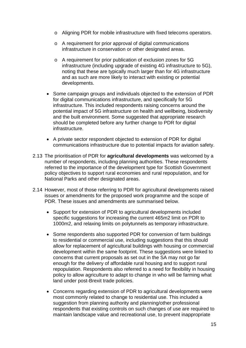- o Aligning PDR for mobile infrastructure with fixed telecoms operators.
- o A requirement for prior approval of digital communications infrastructure in conservation or other designated areas.
- o A requirement for prior publication of exclusion zones for 5G infrastructure (including upgrade of existing 4G infrastructure to 5G), noting that these are typically much larger than for 4G infrastructure and as such are more likely to interact with existing or potential developments.
- Some campaign groups and individuals objected to the extension of PDR for digital communications infrastructure, and specifically for 5G infrastructure. This included respondents raising concerns around the potential impact of 5G infrastructure on health and wellbeing, biodiversity and the built environment. Some suggested that appropriate research should be completed before any further change to PDR for digital infrastructure.
- A private sector respondent objected to extension of PDR for digital communications infrastructure due to potential impacts for aviation safety.
- 2.13 The prioritisation of PDR for **agricultural developments** was welcomed by a number of respondents, including planning authorities. These respondents referred to the importance of the development type for Scottish Government policy objectives to support rural economies and rural repopulation, and for National Parks and other designated areas.
- 2.14 However, most of those referring to PDR for agricultural developments raised issues or amendments for the proposed work programme and the scope of PDR. These issues and amendments are summarised below.
	- Support for extension of PDR to agricultural developments included specific suggestions for increasing the current 465m2 limit on PDR to 1000m2, and relaxing limits on polytunnels as temporary infrastructure.
	- Some respondents also supported PDR for conversion of farm buildings to residential or commercial use, including suggestions that this should allow for replacement of agricultural buildings with housing or commercial development within the same footprint. These suggestions were linked to concerns that current proposals as set out in the SA may not go far enough for the delivery of affordable rural housing and to support rural repopulation. Respondents also referred to a need for flexibility in housing policy to allow agriculture to adapt to change in who will be farming what land under post-Brexit trade policies.
	- Concerns regarding extension of PDR to agricultural developments were most commonly related to change to residential use. This included a suggestion from planning authority and planning/other professional respondents that existing controls on such changes of use are required to maintain landscape value and recreational use, to prevent inappropriate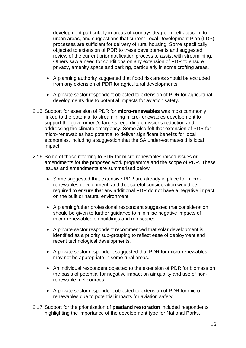development particularly in areas of countryside/green belt adjacent to urban areas, and suggestions that current Local Development Plan (LDP) processes are sufficient for delivery of rural housing. Some specifically objected to extension of PDR to these developments and suggested review of the current prior notification process to assist with streamlining. Others saw a need for conditions on any extension of PDR to ensure privacy, amenity space and parking, particularly in some crofting areas.

- A planning authority suggested that flood risk areas should be excluded from any extension of PDR for agricultural developments.
- A private sector respondent objected to extension of PDR for agricultural developments due to potential impacts for aviation safety.
- 2.15 Support for extension of PDR for **micro-renewables** was most commonly linked to the potential to streamlining micro-renewables development to support the government's targets regarding emissions reduction and addressing the climate emergency. Some also felt that extension of PDR for micro-renewables had potential to deliver significant benefits for local economies, including a suggestion that the SA under-estimates this local impact.
- 2.16 Some of those referring to PDR for micro-renewables raised issues or amendments for the proposed work programme and the scope of PDR. These issues and amendments are summarised below.
	- Some suggested that extensive PDR are already in place for microrenewables development, and that careful consideration would be required to ensure that any additional PDR do not have a negative impact on the built or natural environment.
	- A planning/other professional respondent suggested that consideration should be given to further guidance to minimise negative impacts of micro-renewables on buildings and roofscapes.
	- A private sector respondent recommended that solar development is identified as a priority sub-grouping to reflect ease of deployment and recent technological developments.
	- A private sector respondent suggested that PDR for micro-renewables may not be appropriate in some rural areas.
	- An individual respondent objected to the extension of PDR for biomass on the basis of potential for negative impact on air quality and use of nonrenewable fuel sources.
	- A private sector respondent objected to extension of PDR for microrenewables due to potential impacts for aviation safety.
- 2.17 Support for the prioritisation of **peatland restoration** included respondents highlighting the importance of the development type for National Parks,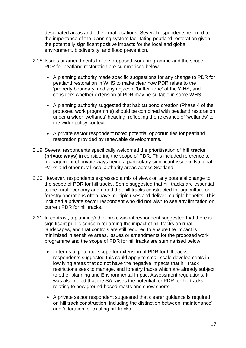designated areas and other rural locations. Several respondents referred to the importance of the planning system facilitating peatland restoration given the potentially significant positive impacts for the local and global environment, biodiversity, and flood prevention.

- 2.18 Issues or amendments for the proposed work programme and the scope of PDR for peatland restoration are summarised below.
	- A planning authority made specific suggestions for any change to PDR for peatland restoration in WHS to make clear how PDR relate to the 'property boundary' and any adjacent 'buffer zone' of the WHS, and considers whether extension of PDR may be suitable in some WHS.
	- A planning authority suggested that habitat pond creation (Phase 4 of the proposed work programme) should be combined with peatland restoration under a wider 'wetlands' heading, reflecting the relevance of 'wetlands' to the wider policy context.
	- A private sector respondent noted potential opportunities for peatland restoration provided by renewable developments.
- 2.19 Several respondents specifically welcomed the prioritisation of **hill tracks (private ways)** in considering the scope of PDR. This included reference to management of private ways being a particularly significant issue in National Parks and other rural local authority areas across Scotland.
- 2.20 However, respondents expressed a mix of views on any potential change to the scope of PDR for hill tracks. Some suggested that hill tracks are essential to the rural economy and noted that hill tracks constructed for agriculture or forestry operations often have multiple uses and deliver multiple benefits. This included a private sector respondent who did not wish to see any limitation on current PDR for hill tracks.
- 2.21 In contrast, a planning/other professional respondent suggested that there is significant public concern regarding the impact of hill tracks on rural landscapes, and that controls are still required to ensure the impact is minimised in sensitive areas. Issues or amendments for the proposed work programme and the scope of PDR for hill tracks are summarised below.
	- In terms of potential scope for extension of PDR for hill tracks, respondents suggested this could apply to small scale developments in low lying areas that do not have the negative impacts that hill track restrictions seek to manage, and forestry tracks which are already subject to other planning and Environmental Impact Assessment regulations. It was also noted that the SA raises the potential for PDR for hill tracks relating to new ground-based masts and snow sports.
	- A private sector respondent suggested that clearer guidance is required on hill track construction, including the distinction between 'maintenance' and 'alteration' of existing hill tracks.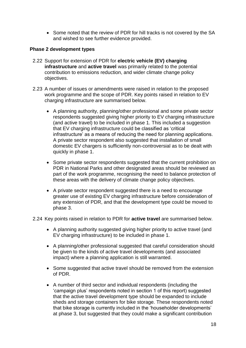• Some noted that the review of PDR for hill tracks is not covered by the SA and wished to see further evidence provided.

#### **Phase 2 development types**

- 2.22 Support for extension of PDR for **electric vehicle (EV) charging infrastructure** and **active travel** was primarily related to the potential contribution to emissions reduction, and wider climate change policy objectives.
- 2.23 A number of issues or amendments were raised in relation to the proposed work programme and the scope of PDR. Key points raised in relation to EV charging infrastructure are summarised below.
	- A planning authority, planning/other professional and some private sector respondents suggested giving higher priority to EV charging infrastructure (and active travel) to be included in phase 1. This included a suggestion that EV charging infrastructure could be classified as 'critical infrastructure' as a means of reducing the need for planning applications. A private sector respondent also suggested that installation of small domestic EV chargers is sufficiently non-controversial as to be dealt with quickly in phase 1.
	- Some private sector respondents suggested that the current prohibition on PDR in National Parks and other designated areas should be reviewed as part of the work programme, recognising the need to balance protection of these areas with the delivery of climate change policy objectives.
	- A private sector respondent suggested there is a need to encourage greater use of existing EV charging infrastructure before consideration of any extension of PDR, and that the development type could be moved to phase 3.
- 2.24 Key points raised in relation to PDR for **active travel** are summarised below.
	- A planning authority suggested giving higher priority to active travel (and EV charging infrastructure) to be included in phase 1.
	- A planning/other professional suggested that careful consideration should be given to the kinds of active travel developments (and associated impact) where a planning application is still warranted.
	- Some suggested that active travel should be removed from the extension of PDR.
	- A number of third sector and individual respondents (including the 'campaign plus' respondents noted in section 1 of this report) suggested that the active travel development type should be expanded to include sheds and storage containers for bike storage. These respondents noted that bike storage is currently included in the 'householder developments' at phase 3, but suggested that they could make a significant contribution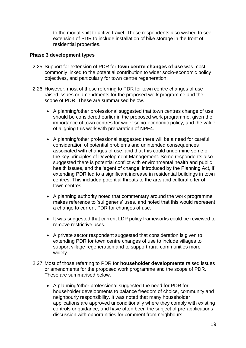to the modal shift to active travel. These respondents also wished to see extension of PDR to include installation of bike storage in the front of residential properties.

#### **Phase 3 development types**

- 2.25 Support for extension of PDR for **town centre changes of use** was most commonly linked to the potential contribution to wider socio-economic policy objectives, and particularly for town centre regeneration.
- 2.26 However, most of those referring to PDR for town centre changes of use raised issues or amendments for the proposed work programme and the scope of PDR. These are summarised below.
	- A planning/other professional suggested that town centres change of use should be considered earlier in the proposed work programme, given the importance of town centres for wider socio-economic policy, and the value of aligning this work with preparation of NPF4.
	- A planning/other professional suggested there will be a need for careful consideration of potential problems and unintended consequences associated with changes of use, and that this could undermine some of the key principles of Development Management. Some respondents also suggested there is potential conflict with environmental health and public health issues, and the 'agent of change' introduced by the Planning Act, if extending PDR led to a significant increase in residential buildings in town centres. This included potential threats to the arts and cultural offer of town centres.
	- A planning authority noted that commentary around the work programme makes reference to 'sui generis' uses, and noted that this would represent a change to current PDR for changes of use.
	- It was suggested that current LDP policy frameworks could be reviewed to remove restrictive uses.
	- A private sector respondent suggested that consideration is given to extending PDR for town centre changes of use to include villages to support village regeneration and to support rural communities more widely.
- 2.27 Most of those referring to PDR for **householder developments** raised issues or amendments for the proposed work programme and the scope of PDR. These are summarised below.
	- A planning/other professional suggested the need for PDR for householder developments to balance freedom of choice, community and neighbourly responsibility. It was noted that many householder applications are approved unconditionally where they comply with existing controls or guidance, and have often been the subject of pre-applications discussion with opportunities for comment from neighbours.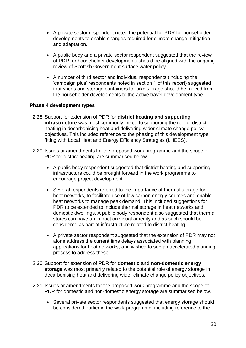- A private sector respondent noted the potential for PDR for householder developments to enable changes required for climate change mitigation and adaptation.
- A public body and a private sector respondent suggested that the review of PDR for householder developments should be aligned with the ongoing review of Scottish Government surface water policy.
- A number of third sector and individual respondents (including the 'campaign plus' respondents noted in section 1 of this report) suggested that sheds and storage containers for bike storage should be moved from the householder developments to the active travel development type.

#### **Phase 4 development types**

- 2.28 Support for extension of PDR for **district heating and supporting infrastructure** was most commonly linked to supporting the role of district heating in decarbonising heat and delivering wider climate change policy objectives. This included reference to the phasing of this development type fitting with Local Heat and Energy Efficiency Strategies (LHEES).
- 2.29 Issues or amendments for the proposed work programme and the scope of PDR for district heating are summarised below.
	- A public body respondent suggested that district heating and supporting infrastructure could be brought forward in the work programme to encourage project development.
	- Several respondents referred to the importance of thermal storage for heat networks, to facilitate use of low carbon energy sources and enable heat networks to manage peak demand. This included suggestions for PDR to be extended to include thermal storage in heat networks and domestic dwellings. A public body respondent also suggested that thermal stores can have an impact on visual amenity and as such should be considered as part of infrastructure related to district heating.
	- A private sector respondent suggested that the extension of PDR may not alone address the current time delays associated with planning applications for heat networks, and wished to see an accelerated planning process to address these.
- 2.30 Support for extension of PDR for **domestic and non-domestic energy storage** was most primarily related to the potential role of energy storage in decarbonising heat and delivering wider climate change policy objectives.
- 2.31 Issues or amendments for the proposed work programme and the scope of PDR for domestic and non-domestic energy storage are summarised below.
	- Several private sector respondents suggested that energy storage should be considered earlier in the work programme, including reference to the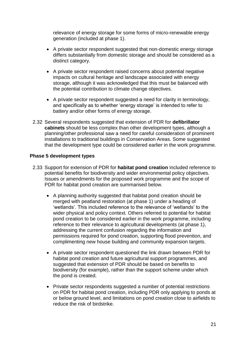relevance of energy storage for some forms of micro-renewable energy generation (included at phase 1).

- A private sector respondent suggested that non-domestic energy storage differs substantially from domestic storage and should be considered as a distinct category.
- A private sector respondent raised concerns about potential negative impacts on cultural heritage and landscape associated with energy storage, although it was acknowledged that this must be balanced with the potential contribution to climate change objectives.
- A private sector respondent suggested a need for clarity in terminology, and specifically as to whether 'energy storage' is intended to refer to battery and/or other forms of energy storage.
- 2.32 Several respondents suggested that extension of PDR for **defibrillator cabinets** should be less complex than other development types, although a planning/other professional saw a need for careful consideration of prominent installations to traditional buildings in Conservation Areas. Some suggested that the development type could be considered earlier in the work programme.

#### **Phase 5 development types**

- 2.33 Support for extension of PDR for **habitat pond creation** included reference to potential benefits for biodiversity and wider environmental policy objectives. Issues or amendments for the proposed work programme and the scope of PDR for habitat pond creation are summarised below.
	- A planning authority suggested that habitat pond creation should be merged with peatland restoration (at phase 1) under a heading of 'wetlands'. This included reference to the relevance of 'wetlands' to the wider physical and policy context. Others referred to potential for habitat pond creation to be considered earlier in the work programme, including reference to their relevance to agricultural developments (at phase 1), addressing the current confusion regarding the information and permissions required for pond creation, supporting flood prevention, and complimenting new house building and community expansion targets.
	- A private sector respondent questioned the link drawn between PDR for habitat pond creation and future agricultural support programmes, and suggested that extension of PDR should be based on benefits to biodiversity (for example), rather than the support scheme under which the pond is created.
	- Private sector respondents suggested a number of potential restrictions on PDR for habitat pond creation, including PDR only applying to ponds at or below ground level, and limitations on pond creation close to airfields to reduce the risk of birdstrike.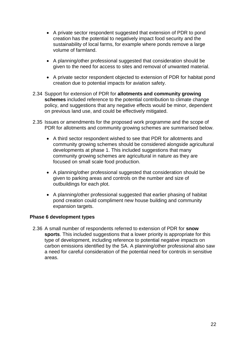- A private sector respondent suggested that extension of PDR to pond creation has the potential to negatively impact food security and the sustainability of local farms, for example where ponds remove a large volume of farmland.
- A planning/other professional suggested that consideration should be given to the need for access to sites and removal of unwanted material.
- A private sector respondent objected to extension of PDR for habitat pond creation due to potential impacts for aviation safety.
- 2.34 Support for extension of PDR for **allotments and community growing schemes** included reference to the potential contribution to climate change policy, and suggestions that any negative effects would be minor, dependent on previous land use, and could be effectively mitigated.
- 2.35 Issues or amendments for the proposed work programme and the scope of PDR for allotments and community growing schemes are summarised below.
	- A third sector respondent wished to see that PDR for allotments and community growing schemes should be considered alongside agricultural developments at phase 1. This included suggestions that many community growing schemes are agricultural in nature as they are focused on small scale food production.
	- A planning/other professional suggested that consideration should be given to parking areas and controls on the number and size of outbuildings for each plot.
	- A planning/other professional suggested that earlier phasing of habitat pond creation could compliment new house building and community expansion targets.

#### **Phase 6 development types**

2.36 A small number of respondents referred to extension of PDR for **snow sports**. This included suggestions that a lower priority is appropriate for this type of development, including reference to potential negative impacts on carbon emissions identified by the SA. A planning/other professional also saw a need for careful consideration of the potential need for controls in sensitive areas.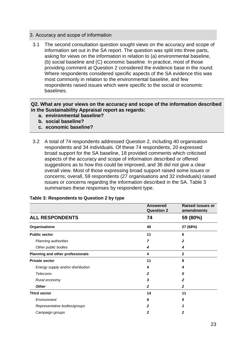#### 3. Accuracy and scope of information

3.1 The second consultation question sought views on the accuracy and scope of information set out in the SA report. The question was split into three parts, asking for views on the information in relation to (a) environmental baseline, (b) social baseline and (C) economic baseline. In practice, most of those providing comment at Question 2 considered the evidence base in the round. Where respondents considered specific aspects of the SA evidence this was most commonly in relation to the environmental baseline, and few respondents raised issues which were specific to the social or economic baselines.

#### **Q2. What are your views on the accuracy and scope of the information described in the Sustainability Appraisal report as regards:**

- **a. environmental baseline?**
- **b. social baseline?**
- **c. economic baseline?**
- 3.2 A total of 74 respondents addressed Question 2, including 40 organisation respondents and 34 individuals. Of these 74 respondents, 20 expressed broad support for the SA baseline, 18 provided comments which criticised aspects of the accuracy and scope of information described or offered suggestions as to how this could be improved, and 36 did not give a clear overall view. Most of those expressing broad support raised some issues or concerns; overall, 59 respondents (27 organisations and 32 individuals) raised issues or concerns regarding the information described in the SA. Table 3 summarises these responses by respondent type.

| <b>Answered</b><br><b>Question 2</b> | <b>Raised issues or</b><br>amendments |
|--------------------------------------|---------------------------------------|
| 74                                   | 59 (80%)                              |
| 40                                   | 27 (68%)                              |
| 11                                   | 6                                     |
| 7                                    | 2                                     |
| 4                                    | 4                                     |
| 4                                    | $\mathbf{2}$                          |
| 11                                   | 8                                     |
| 4                                    | 4                                     |
| $\mathbf{2}$                         | Ω                                     |
| 3                                    | 2                                     |
| $\mathbf{2}$                         | 2                                     |
| 14                                   | 11                                    |
| 6                                    | 5                                     |
| 2                                    |                                       |
| 2                                    | 2                                     |
|                                      |                                       |

#### **Table 3: Respondents to Question 2 by type**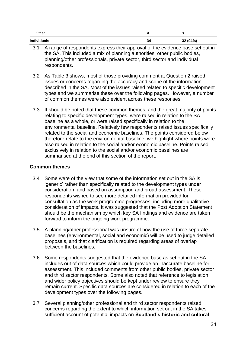| Other              |    | u        |
|--------------------|----|----------|
| <b>Individuals</b> | 34 | 32 (94%) |

- 3.1 A range of respondents express their approval of the evidence base set out in the SA. This included a mix of planning authorities, other public bodies, planning/other professionals, private sector, third sector and individual respondents.
- 3.2 As Table 3 shows, most of those providing comment at Question 2 raised issues or concerns regarding the accuracy and scope of the information described in the SA. Most of the issues raised related to specific development types and we summarise these over the following pages. However, a number of common themes were also evident across these responses.
- 3.3 It should be noted that these common themes, and the great majority of points relating to specific development types, were raised in relation to the SA baseline as a whole, or were raised specifically in relation to the environmental baseline. Relatively few respondents raised issues specifically related to the social and economic baselines. The points considered below therefore relate to the environmental baseline; we highlight where points were also raised in relation to the social and/or economic baseline. Points raised exclusively in relation to the social and/or economic baselines are summarised at the end of this section of the report.

#### **Common themes**

- 3.4 Some were of the view that some of the information set out in the SA is 'generic' rather than specifically related to the development types under consideration, and based on assumption and broad assessment. These respondents wished to see more detailed information provided for consultation as the work programme progresses, including more qualitative consideration of impacts. It was suggested that the Post Adoption Statement should be the mechanism by which key SA findings and evidence are taken forward to inform the ongoing work programme.
- 3.5 A planning/other professional was unsure of how the use of three separate baselines (environmental, social and economic) will be used to judge detailed proposals, and that clarification is required regarding areas of overlap between the baselines.
- 3.6 Some respondents suggested that the evidence base as set out in the SA includes out of data sources which could provide an inaccurate baseline for assessment. This included comments from other public bodies, private sector and third sector respondents. Some also noted that reference to legislation and wider policy objectives should be kept under review to ensure they remain current. Specific data sources are considered in relation to each of the development types over the following pages.
- 3.7 Several planning/other professional and third sector respondents raised concerns regarding the extent to which information set out in the SA takes sufficient account of potential impacts on **Scotland's historic and cultural**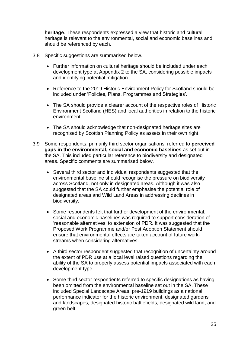**heritage**. These respondents expressed a view that historic and cultural heritage is relevant to the environmental, social and economic baselines and should be referenced by each.

- 3.8 Specific suggestions are summarised below.
	- Further information on cultural heritage should be included under each development type at Appendix 2 to the SA, considering possible impacts and identifying potential mitigation.
	- Reference to the 2019 Historic Environment Policy for Scotland should be included under 'Policies, Plans, Programmes and Strategies'.
	- The SA should provide a clearer account of the respective roles of Historic Environment Scotland (HES) and local authorities in relation to the historic environment.
	- The SA should acknowledge that non-designated heritage sites are recognised by Scottish Planning Policy as assets in their own right.
- 3.9 Some respondents, primarily third sector organisations, referred to **perceived gaps in the environmental, social and economic baselines** as set out in the SA. This included particular reference to biodiversity and designated areas. Specific comments are summarised below.
	- Several third sector and individual respondents suggested that the environmental baseline should recognise the pressure on biodiversity across Scotland, not only in designated areas. Although it was also suggested that the SA could further emphasise the potential role of designated areas and Wild Land Areas in addressing declines in biodiversity.
	- Some respondents felt that further development of the environmental, social and economic baselines was required to support consideration of 'reasonable alternatives' to extension of PDR. It was suggested that the Proposed Work Programme and/or Post Adoption Statement should ensure that environmental effects are taken account of future workstreams when considering alternatives.
	- A third sector respondent suggested that recognition of uncertainty around the extent of PDR use at a local level raised questions regarding the ability of the SA to properly assess potential impacts associated with each development type.
	- Some third sector respondents referred to specific designations as having been omitted from the environmental baseline set out in the SA. These included Special Landscape Areas, pre-1919 buildings as a national performance indicator for the historic environment, designated gardens and landscapes, designated historic battlefields, designated wild land, and green belt.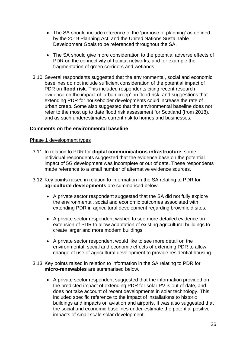- The SA should include reference to the 'purpose of planning' as defined by the 2019 Planning Act, and the United Nations Sustainable Development Goals to be referenced throughout the SA.
- The SA should give more consideration to the potential adverse effects of PDR on the connectivity of habitat networks, and for example the fragmentation of green corridors and wetlands.
- 3.10 Several respondents suggested that the environmental, social and economic baselines do not include sufficient consideration of the potential impact of PDR on **flood risk**. This included respondents citing recent research evidence on the impact of 'urban creep' on flood risk, and suggestions that extending PDR for householder developments could increase the rate of urban creep. Some also suggested that the environmental baseline does not refer to the most up to date flood risk assessment for Scotland (from 2018), and as such underestimates current risk to homes and businesses.

#### **Comments on the environmental baseline**

#### Phase 1 development types

- 3.11 In relation to PDR for **digital communications infrastructure**, some individual respondents suggested that the evidence base on the potential impact of 5G development was incomplete or out of date. These respondents made reference to a small number of alternative evidence sources.
- 3.12 Key points raised in relation to information in the SA relating to PDR for **agricultural developments** are summarised below.
	- A private sector respondent suggested that the SA did not fully explore the environmental, social and economic outcomes associated with extending PDR in agricultural development regarding brownfield sites.
	- A private sector respondent wished to see more detailed evidence on extension of PDR to allow adaptation of existing agricultural buildings to create larger and more modern buildings.
	- A private sector respondent would like to see more detail on the environmental, social and economic effects of extending PDR to allow change of use of agricultural development to provide residential housing.
- 3.13 Key points raised in relation to information in the SA relating to PDR for **micro-renewables** are summarised below.
	- A private sector respondent suggested that the information provided on the predicted impact of extending PDR for solar PV is out of date, and does not take account of recent developments in solar technology. This included specific reference to the impact of installations to historic buildings and impacts on aviation and airports. It was also suggested that the social and economic baselines under-estimate the potential positive impacts of small scale solar development.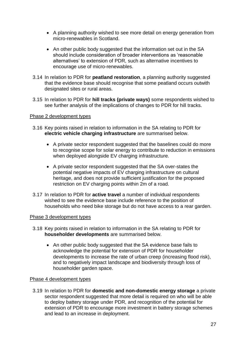- A planning authority wished to see more detail on energy generation from micro-renewables in Scotland.
- An other public body suggested that the information set out in the SA should include consideration of broader interventions as 'reasonable alternatives' to extension of PDR, such as alternative incentives to encourage use of micro-renewables.
- 3.14 In relation to PDR for **peatland restoration**, a planning authority suggested that the evidence base should recognise that some peatland occurs outwith designated sites or rural areas.
- 3.15 In relation to PDR for **hill tracks (private ways)** some respondents wished to see further analysis of the implications of changes to PDR for hill tracks.

#### Phase 2 development types

- 3.16 Key points raised in relation to information in the SA relating to PDR for **electric vehicle charging infrastructure** are summarised below.
	- A private sector respondent suggested that the baselines could do more to recognise scope for solar energy to contribute to reduction in emissions when deployed alongside EV charging infrastructure.
	- A private sector respondent suggested that the SA over-states the potential negative impacts of EV charging infrastructure on cultural heritage, and does not provide sufficient justification for the proposed restriction on EV charging points within 2m of a road.
- 3.17 In relation to PDR for **active travel** a number of individual respondents wished to see the evidence base include reference to the position of households who need bike storage but do not have access to a rear garden.

#### Phase 3 development types

- 3.18 Key points raised in relation to information in the SA relating to PDR for **householder developments** are summarised below.
	- An other public body suggested that the SA evidence base fails to acknowledge the potential for extension of PDR for householder developments to increase the rate of urban creep (increasing flood risk), and to negatively impact landscape and biodiversity through loss of householder garden space.

#### Phase 4 development types

3.19 In relation to PDR for **domestic and non-domestic energy storage** a private sector respondent suggested that more detail is required on who will be able to deploy battery storage under PDR, and recognition of the potential for extension of PDR to encourage more investment in battery storage schemes and lead to an increase in deployment.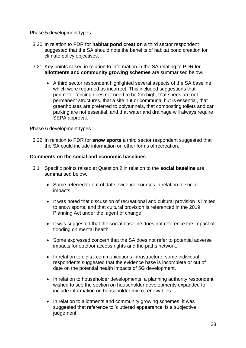#### Phase 5 development types

- 3.20 In relation to PDR for **habitat pond creation** a third sector respondent suggested that the SA should note the benefits of habitat pond creation for climate policy objectives.
- 3.21 Key points raised in relation to information in the SA relating to PDR for **allotments and community growing schemes** are summarised below.
	- A third sector respondent highlighted several aspects of the SA baseline which were regarded as incorrect. This included suggestions that perimeter fencing does not need to be 2m high, that sheds are not permanent structures, that a site hut or communal hut is essential, that greenhouses are preferred to polytunnels, that composting toilets and car parking are not essential, and that water and drainage will always require SEPA approval.

#### Phase 6 development types

3.22 In relation to PDR for **snow sports** a third sector respondent suggested that the SA could include information on other forms of recreation.

#### **Comments on the social and economic baselines**

- 3.1 Specific points raised at Question 2 in relation to the **social baseline** are summarised below.
	- Some referred to out of date evidence sources in relation to social impacts.
	- It was noted that discussion of recreational and cultural provision is limited to snow sports, and that cultural provision is referenced in the 2019 Planning Act under the 'agent of change'
	- It was suggested that the social baseline does not reference the impact of flooding on mental health.
	- Some expressed concern that the SA does not refer to potential adverse impacts for outdoor access rights and the paths network.
	- In relation to digital communications infrastructure, some individual respondents suggested that the evidence base is incomplete or out of date on the potential health impacts of 5G development.
	- In relation to householder developments, a planning authority respondent wished to see the section on householder developments expanded to include information on householder micro-renewables.
	- In relation to allotments and community growing schemes, it was suggested that reference to 'cluttered appearance' is a subjective judgement.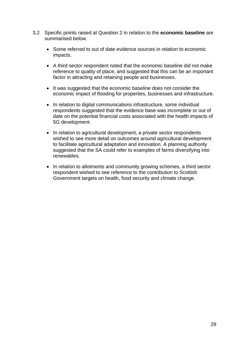- 3.2 Specific points raised at Question 2 in relation to the **economic baseline** are summarised below.
	- Some referred to out of date evidence sources in relation to economic impacts.
	- A third sector respondent noted that the economic baseline did not make reference to quality of place, and suggested that this can be an important factor in attracting and retaining people and businesses.
	- It was suggested that the economic baseline does not consider the economic impact of flooding for properties, businesses and infrastructure.
	- In relation to digital communications infrastructure, some individual respondents suggested that the evidence base was incomplete or out of date on the potential financial costs associated with the health impacts of 5G development.
	- In relation to agricultural development, a private sector respondents wished to see more detail on outcomes around agricultural development to facilitate agricultural adaptation and innovation. A planning authority suggested that the SA could refer to examples of farms diversifying into renewables.
	- In relation to allotments and community growing schemes, a third sector respondent wished to see reference to the contribution to Scottish Government targets on health, food security and climate change.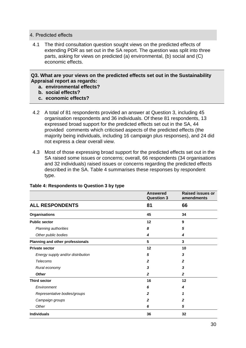#### 4. Predicted effects

4.1 The third consultation question sought views on the predicted effects of extending PDR as set out in the SA report. The question was split into three parts, asking for views on predicted (a) environmental, (b) social and (C) economic effects.

#### **Q3. What are your views on the predicted effects set out in the Sustainability Appraisal report as regards:**

- **a. environmental effects?**
- **b. social effects?**
- **c. economic effects?**
- 4.2 A total of 81 respondents provided an answer at Question 3, including 45 organisation respondents and 36 individuals. Of these 81 respondents, 13 expressed broad support for the predicted effects set out in the SA, 44 provided comments which criticised aspects of the predicted effects (the majority being individuals, including 16 campaign plus responses), and 24 did not express a clear overall view.
- 4.3 Most of those expressing broad support for the predicted effects set out in the SA raised some issues or concerns; overall, 66 respondents (34 organisations and 32 individuals) raised issues or concerns regarding the predicted effects described in the SA. Table 4 summarises these responses by respondent type.

|                                   | <b>Answered</b><br><b>Question 3</b> | <b>Raised issues or</b><br>amendments |
|-----------------------------------|--------------------------------------|---------------------------------------|
| <b>ALL RESPONDENTS</b>            | 81                                   | 66                                    |
| <b>Organisations</b>              | 45                                   | 34                                    |
| <b>Public sector</b>              | 12                                   | 9                                     |
| Planning authorities              | 8                                    | 5                                     |
| Other public bodies               | 4                                    | 4                                     |
| Planning and other professionals  | 5                                    | 3                                     |
| <b>Private sector</b>             | 12                                   | 10                                    |
| Energy supply and/or distribution | 5                                    | 3                                     |
| Telecoms                          | $\mathbf{2}$                         | $\mathbf{2}$                          |
| Rural economy                     | 3                                    | 3                                     |
| <b>Other</b>                      | $\mathbf{2}$                         | $\mathbf{2}$                          |
| <b>Third sector</b>               | 16                                   | 12                                    |
| Environment                       | 6                                    | 4                                     |
| Representative bodies/groups      | $\mathbf{z}$                         | 1                                     |
| Campaign groups                   | $\mathbf{z}$                         | $\mathbf{2}$                          |
| Other                             | 6                                    | 5                                     |
| <b>Individuals</b>                | 36                                   | 32                                    |

#### **Table 4: Respondents to Question 3 by type**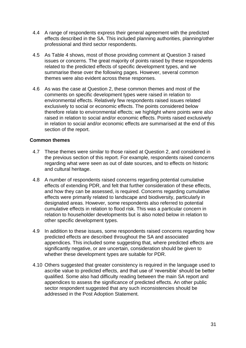- 4.4 A range of respondents express their general agreement with the predicted effects described in the SA. This included planning authorities, planning/other professional and third sector respondents.
- 4.5 As Table 4 shows, most of those providing comment at Question 3 raised issues or concerns. The great majority of points raised by these respondents related to the predicted effects of specific development types, and we summarise these over the following pages. However, several common themes were also evident across these responses.
- 4.6 As was the case at Question 2, these common themes and most of the comments on specific development types were raised in relation to environmental effects. Relatively few respondents raised issues related exclusively to social or economic effects. The points considered below therefore relate to environmental effects; we highlight where points were also raised in relation to social and/or economic effects. Points raised exclusively in relation to social and/or economic effects are summarised at the end of this section of the report.

#### **Common themes**

- 4.7 These themes were similar to those raised at Question 2, and considered in the previous section of this report. For example, respondents raised concerns regarding what were seen as out of date sources, and to effects on historic and cultural heritage.
- 4.8 A number of respondents raised concerns regarding potential cumulative effects of extending PDR, and felt that further consideration of these effects, and how they can be assessed, is required. Concerns regarding cumulative effects were primarily related to landscape and biodiversity, particularly in designated areas. However, some respondents also referred to potential cumulative effects in relation to flood risk. This was a particular concern in relation to householder developments but is also noted below in relation to other specific development types.
- 4.9 In addition to these issues, some respondents raised concerns regarding how predicted effects are described throughout the SA and associated appendices. This included some suggesting that, where predicted effects are significantly negative, or are uncertain, consideration should be given to whether these development types are suitable for PDR.
- 4.10 Others suggested that greater consistency is required in the language used to ascribe value to predicted effects, and that use of 'reversible' should be better qualified. Some also had difficulty reading between the main SA report and appendices to assess the significance of predicted effects. An other public sector respondent suggested that any such inconsistencies should be addressed in the Post Adoption Statement.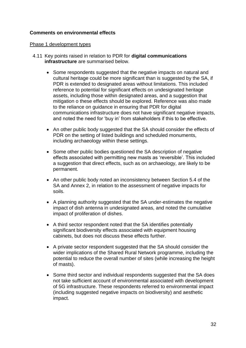#### **Comments on environmental effects**

#### Phase 1 development types

- 4.11 Key points raised in relation to PDR for **digital communications infrastructure** are summarised below.
	- Some respondents suggested that the negative impacts on natural and cultural heritage could be more significant than is suggested by the SA, if PDR is extended to designated areas without limitations. This included reference to potential for significant effects on undesignated heritage assets, including those within designated areas, and a suggestion that mitigation o these effects should be explored. Reference was also made to the reliance on guidance in ensuring that PDR for digital communications infrastructure does not have significant negative impacts, and noted the need for 'buy in' from stakeholders if this to be effective.
	- An other public body suggested that the SA should consider the effects of PDR on the setting of listed buildings and scheduled monuments, including archaeology within these settings.
	- Some other public bodies questioned the SA description of negative effects associated with permitting new masts as 'reversible'. This included a suggestion that direct effects, such as on archaeology, are likely to be permanent.
	- An other public body noted an inconsistency between Section 5.4 of the SA and Annex 2, in relation to the assessment of negative impacts for soils.
	- A planning authority suggested that the SA under-estimates the negative impact of dish antenna in undesignated areas, and noted the cumulative impact of proliferation of dishes.
	- A third sector respondent noted that the SA identifies potentially significant biodiversity effects associated with equipment housing cabinets, but does not discuss these effects further.
	- A private sector respondent suggested that the SA should consider the wider implications of the Shared Rural Network programme, including the potential to reduce the overall number of sites (while increasing the height of masts).
	- Some third sector and individual respondents suggested that the SA does not take sufficient account of environmental associated with development of 5G infrastructure. These respondents referred to environmental impact (including suggested negative impacts on biodiversity) and aesthetic impact.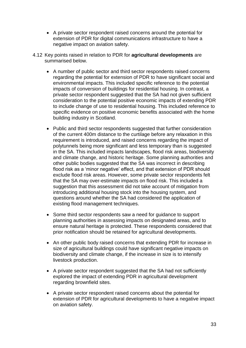- A private sector respondent raised concerns around the potential for extension of PDR for digital communications infrastructure to have a negative impact on aviation safety.
- 4.12 Key points raised in relation to PDR for **agricultural developments** are summarised below.
	- A number of public sector and third sector respondents raised concerns regarding the potential for extension of PDR to have significant social and environmental impacts. This included specific reference to the potential impacts of conversion of buildings for residential housing. In contrast, a private sector respondent suggested that the SA had not given sufficient consideration to the potential positive economic impacts of extending PDR to include change of use to residential housing. This included reference to specific evidence on positive economic benefits associated with the home building industry in Scotland.
	- Public and third sector respondents suggested that further consideration of the current 400m distance to the curtilage before any relaxation in this requirement is introduced, and raised concerns regarding the impact of polytunnels being more significant and less temporary than is suggested in the SA. This included impacts landscapes, flood risk areas, biodiversity and climate change, and historic heritage. Some planning authorities and other public bodies suggested that the SA was incorrect in describing flood risk as a 'minor negative' effect, and that extension of PDR should exclude flood risk areas. However, some private sector respondents felt that the SA may over-estimate impacts on flood risk. This included a suggestion that this assessment did not take account of mitigation from introducing additional housing stock into the housing system, and questions around whether the SA had considered the application of existing flood management techniques.
	- Some third sector respondents saw a need for guidance to support planning authorities in assessing impacts on designated areas, and to ensure natural heritage is protected. These respondents considered that prior notification should be retained for agricultural developments.
	- An other public body raised concerns that extending PDR for increase in size of agricultural buildings could have significant negative impacts on biodiversity and climate change, if the increase in size is to intensify livestock production.
	- A private sector respondent suggested that the SA had not sufficiently explored the impact of extending PDR in agricultural development regarding brownfield sites.
	- A private sector respondent raised concerns about the potential for extension of PDR for agricultural developments to have a negative impact on aviation safety.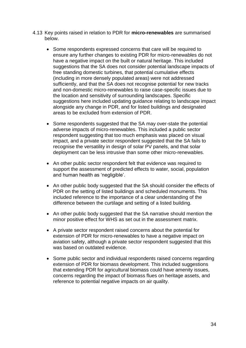- 4.13 Key points raised in relation to PDR for **micro-renewables** are summarised below.
	- Some respondents expressed concerns that care will be required to ensure any further changes to existing PDR for micro-renewables do not have a negative impact on the built or natural heritage. This included suggestions that the SA does not consider potential landscape impacts of free standing domestic turbines, that potential cumulative effects (including in more densely populated areas) were not addressed sufficiently, and that the SA does not recognise potential for new tracks and non-domestic micro-renewables to raise case-specific issues due to the location and sensitivity of surrounding landscapes. Specific suggestions here included updating guidance relating to landscape impact alongside any change in PDR, and for listed buildings and designated areas to be excluded from extension of PDR.
	- Some respondents suggested that the SA may over-state the potential adverse impacts of micro-renewables. This included a public sector respondent suggesting that too much emphasis was placed on visual impact, and a private sector respondent suggested that the SA fails to recognise the versatility in design of solar PV panels, and that solar deployment can be less intrusive than some other micro-renewables.
	- An other public sector respondent felt that evidence was required to support the assessment of predicted effects to water, social, population and human health as 'negligible'.
	- An other public body suggested that the SA should consider the effects of PDR on the setting of listed buildings and scheduled monuments. This included reference to the importance of a clear understanding of the difference between the curtilage and setting of a listed building.
	- An other public body suggested that the SA narrative should mention the minor positive effect for WHS as set out in the assessment matrix.
	- A private sector respondent raised concerns about the potential for extension of PDR for micro-renewables to have a negative impact on aviation safety, although a private sector respondent suggested that this was based on outdated evidence.
	- Some public sector and individual respondents raised concerns regarding extension of PDR for biomass development. This included suggestions that extending PDR for agricultural biomass could have amenity issues, concerns regarding the impact of biomass flues on heritage assets, and reference to potential negative impacts on air quality.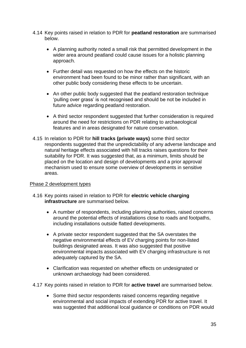- 4.14 Key points raised in relation to PDR for **peatland restoration** are summarised below.
	- A planning authority noted a small risk that permitted development in the wider area around peatland could cause issues for a holistic planning approach.
	- Further detail was requested on how the effects on the historic environment had been found to be minor rather than significant, with an other public body considering these effects to be uncertain.
	- An other public body suggested that the peatland restoration technique 'pulling over grass' is not recognised and should be not be included in future advice regarding peatland restoration.
	- A third sector respondent suggested that further consideration is required around the need for restrictions on PDR relating to archaeological features and in areas designated for nature conservation.
- 4.15 In relation to PDR for **hill tracks (private ways)** some third sector respondents suggested that the unpredictability of any adverse landscape and natural heritage effects associated with hill tracks raises questions for their suitability for PDR. It was suggested that, as a minimum, limits should be placed on the location and design of developments and a prior approval mechanism used to ensure some overview of developments in sensitive areas.

#### Phase 2 development types

- 4.16 Key points raised in relation to PDR for **electric vehicle charging infrastructure** are summarised below.
	- A number of respondents, including planning authorities, raised concerns around the potential effects of installations close to roads and footpaths, including installations outside flatted developments.
	- A private sector respondent suggested that the SA overstates the negative environmental effects of EV charging points for non-listed buildings designated areas. It was also suggested that positive environmental impacts associated with EV charging infrastructure is not adequately captured by the SA.
	- Clarification was requested on whether effects on undesignated or unknown archaeology had been considered.
- 4.17 Key points raised in relation to PDR for **active travel** are summarised below.
	- Some third sector respondents raised concerns regarding negative environmental and social impacts of extending PDR for active travel. It was suggested that additional local guidance or conditions on PDR would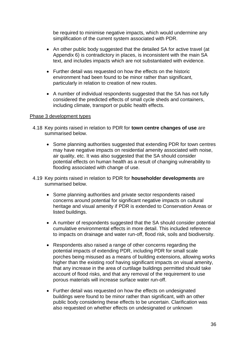be required to minimise negative impacts, which would undermine any simplification of the current system associated with PDR.

- An other public body suggested that the detailed SA for active travel (at Appendix 6) is contradictory in places, is inconsistent with the main SA text, and includes impacts which are not substantiated with evidence.
- Further detail was requested on how the effects on the historic environment had been found to be minor rather than significant, particularly in relation to creation of new routes.
- A number of individual respondents suggested that the SA has not fully considered the predicted effects of small cycle sheds and containers, including climate, transport or public health effects.

#### Phase 3 development types

- 4.18 Key points raised in relation to PDR for **town centre changes of use** are summarised below.
	- Some planning authorities suggested that extending PDR for town centres may have negative impacts on residential amenity associated with noise, air quality, etc. It was also suggested that the SA should consider potential effects on human health as a result of changing vulnerability to flooding associated with change of use.
- 4.19 Key points raised in relation to PDR for **householder developments** are summarised below.
	- Some planning authorities and private sector respondents raised concerns around potential for significant negative impacts on cultural heritage and visual amenity if PDR is extended to Conservation Areas or listed buildings.
	- A number of respondents suggested that the SA should consider potential cumulative environmental effects in more detail. This included reference to impacts on drainage and water run-off, flood risk, soils and biodiversity.
	- Respondents also raised a range of other concerns regarding the potential impacts of extending PDR, including PDR for small scale porches being misused as a means of building extensions, allowing works higher than the existing roof having significant impacts on visual amenity, that any increase in the area of curtilage buildings permitted should take account of flood risks, and that any removal of the requirement to use porous materials will increase surface water run-off.
	- Further detail was requested on how the effects on undesignated buildings were found to be minor rather than significant, with an other public body considering these effects to be uncertain. Clarification was also requested on whether effects on undesignated or unknown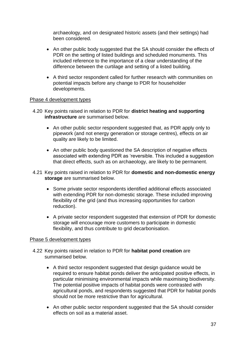archaeology, and on designated historic assets (and their settings) had been considered.

- An other public body suggested that the SA should consider the effects of PDR on the setting of listed buildings and scheduled monuments. This included reference to the importance of a clear understanding of the difference between the curtilage and setting of a listed building.
- A third sector respondent called for further research with communities on potential impacts before any change to PDR for householder developments.

#### Phase 4 development types

- 4.20 Key points raised in relation to PDR for **district heating and supporting infrastructure** are summarised below.
	- An other public sector respondent suggested that, as PDR apply only to pipework (and not energy generation or storage centres), effects on air quality are likely to be limited.
	- An other public body questioned the SA description of negative effects associated with extending PDR as 'reversible. This included a suggestion that direct effects, such as on archaeology, are likely to be permanent.
- 4.21 Key points raised in relation to PDR for **domestic and non-domestic energy storage** are summarised below.
	- Some private sector respondents identified additional effects associated with extending PDR for non-domestic storage. These included improving flexibility of the grid (and thus increasing opportunities for carbon reduction).
	- A private sector respondent suggested that extension of PDR for domestic storage will encourage more customers to participate in domestic flexibility, and thus contribute to grid decarbonisation.

#### Phase 5 development types

- 4.22 Key points raised in relation to PDR for **habitat pond creation** are summarised below.
	- A third sector respondent suggested that design guidance would be required to ensure habitat ponds deliver the anticipated positive effects, in particular minimising environmental impacts while maximising biodiversity. The potential positive impacts of habitat ponds were contrasted with agricultural ponds, and respondents suggested that PDR for habitat ponds should not be more restrictive than for agricultural.
	- An other public sector respondent suggested that the SA should consider effects on soil as a material asset.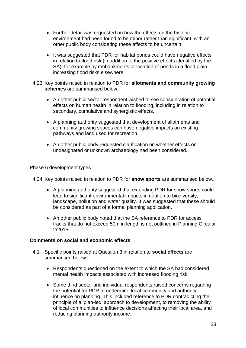- Further detail was requested on how the effects on the historic environment had been found to be minor rather than significant, with an other public body considering these effects to be uncertain.
- It was suggested that PDR for habitat ponds could have negative effects in relation to flood risk (in addition to the positive effects identified by the SA), for example by embankments or location of ponds in a flood plain increasing flood risks elsewhere.
- 4.23 Key points raised in relation to PDR for **allotments and community growing schemes** are summarised below.
	- An other public sector respondent wished to see consideration of potential effects on human health in relation to flooding, including in relation to secondary, cumulative and synergistic effects.
	- A planning authority suggested that development of allotments and community growing spaces can have negative impacts on existing pathways and land used for recreation.
	- An other public body requested clarification on whether effects on undesignated or unknown archaeology had been considered.

#### Phase 6 development types

4.24 Key points raised in relation to PDR for **snow sports** are summarised below.

- A planning authority suggested that extending PDR for snow sports could lead to significant environmental impacts in relation to biodiversity, landscape, pollution and water quality. It was suggested that these should be considered as part of a formal planning application.
- An other public body noted that the SA reference to PDR for access tracks that do not exceed 50m in length is not outlined in Planning Circular 2/2015.

#### **Comments on social and economic effects**

- 4.1 Specific points raised at Question 3 in relation to **social effects** are summarised below.
	- Respondents questioned on the extent to which the SA had considered mental health impacts associated with increased flooding risk.
	- Some third sector and individual respondents raised concerns regarding the potential for PDR to undermine local community and authority influence on planning. This included reference to PDR contradicting the principle of a 'plan-led' approach to development, to removing the ability of local communities to influence decisions affecting their local area, and reducing planning authority income.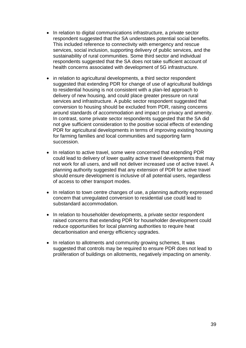- In relation to digital communications infrastructure, a private sector respondent suggested that the SA understates potential social benefits. This included reference to connectivity with emergency and rescue services, social inclusion, supporting delivery of public services, and the sustainability of rural communities. Some third sector and individual respondents suggested that the SA does not take sufficient account of health concerns associated with development of 5G infrastructure.
- in relation to agricultural developments, a third sector respondent suggested that extending PDR for change of use of agricultural buildings to residential housing is not consistent with a plan-led approach to delivery of new housing, and could place greater pressure on rural services and infrastructure. A public sector respondent suggested that conversion to housing should be excluded from PDR, raising concerns around standards of accommodation and impact on privacy and amenity. In contrast, some private sector respondents suggested that the SA did not give sufficient consideration to the positive social effects of extending PDR for agricultural developments in terms of improving existing housing for farming families and local communities and supporting farm succession.
- In relation to active travel, some were concerned that extending PDR could lead to delivery of lower quality active travel developments that may not work for all users, and will not deliver increased use of active travel. A planning authority suggested that any extension of PDR for active travel should ensure development is inclusive of all potential users, regardless of access to other transport modes.
- In relation to town centre changes of use, a planning authority expressed concern that unregulated conversion to residential use could lead to substandard accommodation.
- In relation to householder developments, a private sector respondent raised concerns that extending PDR for householder development could reduce opportunities for local planning authorities to require heat decarbonisation and energy efficiency upgrades.
- In relation to allotments and community growing schemes, It was suggested that controls may be required to ensure PDR does not lead to proliferation of buildings on allotments, negatively impacting on amenity.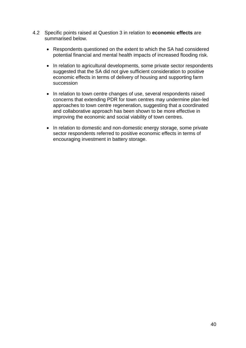- 4.2 Specific points raised at Question 3 in relation to **economic effects** are summarised below.
	- Respondents questioned on the extent to which the SA had considered potential financial and mental health impacts of increased flooding risk.
	- In relation to agricultural developments, some private sector respondents suggested that the SA did not give sufficient consideration to positive economic effects in terms of delivery of housing and supporting farm succession
	- In relation to town centre changes of use, several respondents raised concerns that extending PDR for town centres may undermine plan-led approaches to town centre regeneration, suggesting that a coordinated and collaborative approach has been shown to be more effective in improving the economic and social viability of town centres.
	- In relation to domestic and non-domestic energy storage, some private sector respondents referred to positive economic effects in terms of encouraging investment in battery storage.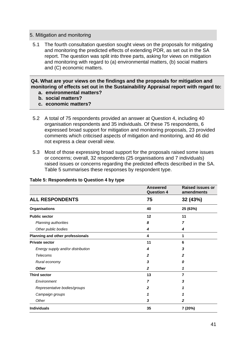#### 5. Mitigation and monitoring

5.1 The fourth consultation question sought views on the proposals for mitigating and monitoring the predicted effects of extending PDR, as set out in the SA report. The question was split into three parts, asking for views on mitigation and monitoring with regard to (a) environmental matters, (b) social matters and (C) economic matters.

#### **Q4. What are your views on the findings and the proposals for mitigation and monitoring of effects set out in the Sustainability Appraisal report with regard to: a. environmental matters?**

- **b. social matters?**
- **c. economic matters?**
- 5.2 A total of 75 respondents provided an answer at Question 4, including 40 organisation respondents and 35 individuals. Of these 75 respondents, 6 expressed broad support for mitigation and monitoring proposals, 23 provided comments which criticised aspects of mitigation and monitoring, and 46 did not express a clear overall view.
- 5.3 Most of those expressing broad support for the proposals raised some issues or concerns; overall, 32 respondents (25 organisations and 7 individuals) raised issues or concerns regarding the predicted effects described in the SA. Table 5 summarises these responses by respondent type.

|                                   | <b>Answered</b><br><b>Question 4</b> | <b>Raised issues or</b><br>amendments |
|-----------------------------------|--------------------------------------|---------------------------------------|
| <b>ALL RESPONDENTS</b>            | 75                                   | 32 (43%)                              |
| Organisations                     | 40                                   | 25 (63%)                              |
| <b>Public sector</b>              | 12                                   | 11                                    |
| Planning authorities              | 8                                    | 7                                     |
| Other public bodies               | 4                                    | 4                                     |
| Planning and other professionals  | 4                                    | 1                                     |
| <b>Private sector</b>             | 11                                   | 6                                     |
| Energy supply and/or distribution | 4                                    | 3                                     |
| Telecoms                          | 2                                    | 2                                     |
| Rural economy                     | 3                                    | 0                                     |
| <b>Other</b>                      | $\mathbf{2}$                         | 1                                     |
| <b>Third sector</b>               | 13                                   | 7                                     |
| Environment                       | 7                                    | 3                                     |
| Representative bodies/groups      | $\mathbf{z}$                         | 1                                     |
| Campaign groups                   | 1                                    | 1                                     |
| Other                             | 3                                    | $\mathbf{z}$                          |
| <b>Individuals</b>                | 35                                   | 7 (20%)                               |

#### **Table 5: Respondents to Question 4 by type**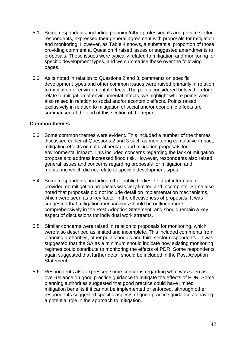- 5.1 Some respondents, including planning/other professionals and private sector respondents, expressed their general agreement with proposals for mitigation and monitoring. However, as Table 4 shows, a substantial proportion of those providing comment at Question 4 raised issues or suggested amendments to proposals. These issues were typically related to mitigation and monitoring for specific development types, and we summarise these over the following pages.
- 5.2 As is noted in relation to Questions 2 and 3, comments on specific development types and other common issues were raised primarily in relation to mitigation of environmental effects. The points considered below therefore relate to mitigation of environmental effects; we highlight where points were also raised in relation to social and/or economic effects. Points raised exclusively in relation to mitigation of social and/or economic effects are summarised at the end of this section of the report.

#### **Common themes**

- 5.3 Some common themes were evident. This included a number of the themes discussed earlier at Questions 2 and 3 such as monitoring cumulative impact, mitigating effects on cultural heritage and mitigation proposals for environmental impact. This included concerns regarding the lack of mitigation proposals to address increased flood risk. However, respondents also raised general issues and concerns regarding proposals for mitigation and monitoring which did not relate to specific development types.
- 5.4 Some respondents, including other public bodies, felt that information provided on mitigation proposals was very limited and incomplete. Some also noted that proposals did not include detail on implementation mechanisms, which were seen as a key factor in the effectiveness of proposals. It was suggested that mitigation mechanisms should be outlined more comprehensively in the Post Adoption Statement, and should remain a key aspect of discussions for individual work streams.
- 5.5 Similar concerns were raised in relation to proposals for monitoring, which were also described as limited and incomplete. This included comments from planning authorities, other public bodies and third sector respondents. It was suggested that the SA as a minimum should indicate how existing monitoring regimes could contribute to monitoring the effects of PDR. Some respondents again suggested that further detail should be included in the Post Adoption **Statement**
- 5.6 Respondents also expressed some concerns regarding what was seen as over-reliance on good practice guidance to mitigate the effects of PDR. Some planning authorities suggested that good practice could have limited mitigation benefits if it cannot be implemented or enforced, although other respondents suggested specific aspects of good practice guidance as having a potential role in the approach to mitigation.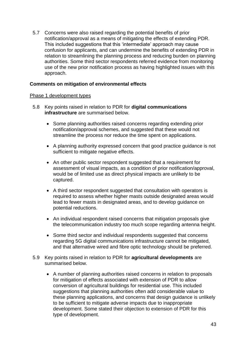5.7 Concerns were also raised regarding the potential benefits of prior notification/approval as a means of mitigating the effects of extending PDR. This included suggestions that this 'intermediate' approach may cause confusion for applicants, and can undermine the benefits of extending PDR in relation to streamlining the planning process and reducing burden on planning authorities. Some third sector respondents referred evidence from monitoring use of the new prior notification process as having highlighted issues with this approach.

#### **Comments on mitigation of environmental effects**

#### Phase 1 development types

- 5.8 Key points raised in relation to PDR for **digital communications infrastructure** are summarised below.
	- Some planning authorities raised concerns regarding extending prior notification/approval schemes, and suggested that these would not streamline the process nor reduce the time spent on applications.
	- A planning authority expressed concern that good practice guidance is not sufficient to mitigate negative effects.
	- An other public sector respondent suggested that a requirement for assessment of visual impacts, as a condition of prior notification/approval, would be of limited use as direct physical impacts are unlikely to be captured.
	- A third sector respondent suggested that consultation with operators is required to assess whether higher masts outside designated areas would lead to fewer masts in designated areas, and to develop guidance on potential reductions.
	- An individual respondent raised concerns that mitigation proposals give the telecommunication industry too much scope regarding antenna height.
	- Some third sector and individual respondents suggested that concerns regarding 5G digital communications infrastructure cannot be mitigated, and that alternative wired and fibre optic technology should be preferred.
- 5.9 Key points raised in relation to PDR for **agricultural developments** are summarised below.
	- A number of planning authorities raised concerns in relation to proposals for mitigation of effects associated with extension of PDR to allow conversion of agricultural buildings for residential use. This included suggestions that planning authorities often add considerable value to these planning applications, and concerns that design guidance is unlikely to be sufficient to mitigate adverse impacts due to inappropriate development. Some stated their objection to extension of PDR for this type of development.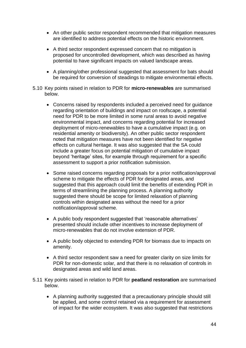- An other public sector respondent recommended that mitigation measures are identified to address potential effects on the historic environment.
- A third sector respondent expressed concern that no mitigation is proposed for uncontrolled development, which was described as having potential to have significant impacts on valued landscape areas.
- A planning/other professional suggested that assessment for bats should be required for conversion of steadings to mitigate environmental effects.
- 5.10 Key points raised in relation to PDR for **micro-renewables** are summarised below.
	- Concerns raised by respondents included a perceived need for guidance regarding orientation of buildings and impact on roofscape, a potential need for PDR to be more limited in some rural areas to avoid negative environmental impact, and concerns regarding potential for increased deployment of micro-renewables to have a cumulative impact (e.g. on residential amenity or biodiversity). An other public sector respondent noted that mitigation measures have not been identified for negative effects on cultural heritage. It was also suggested that the SA could include a greater focus on potential mitigation of cumulative impact beyond 'heritage' sites, for example through requirement for a specific assessment to support a prior notification submission.
	- Some raised concerns regarding proposals for a prior notification/approval scheme to mitigate the effects of PDR for designated areas, and suggested that this approach could limit the benefits of extending PDR in terms of streamlining the planning process. A planning authority suggested there should be scope for limited relaxation of planning controls within designated areas without the need for a prior notification/approval scheme.
	- A public body respondent suggested that 'reasonable alternatives' presented should include other incentives to increase deployment of micro-renewables that do not involve extension of PDR.
	- A public body objected to extending PDR for biomass due to impacts on amenity.
	- A third sector respondent saw a need for greater clarity on size limits for PDR for non-domestic solar, and that there is no relaxation of controls in designated areas and wild land areas.
- 5.11 Key points raised in relation to PDR for **peatland restoration** are summarised below.
	- A planning authority suggested that a precautionary principle should still be applied, and some control retained via a requirement for assessment of impact for the wider ecosystem. It was also suggested that restrictions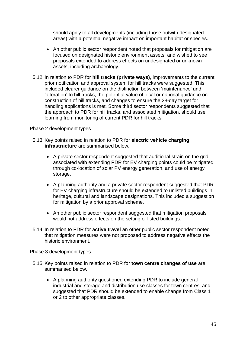should apply to all developments (including those outwith designated areas) with a potential negative impact on important habitat or species.

- An other public sector respondent noted that proposals for mitigation are focused on designated historic environment assets, and wished to see proposals extended to address effects on undesignated or unknown assets, including archaeology.
- 5.12 In relation to PDR for **hill tracks (private ways)**, improvements to the current prior notification and approval system for hill tracks were suggested. This included clearer guidance on the distinction between 'maintenance' and 'alteration' to hill tracks, the potential value of local or national guidance on construction of hill tracks, and changes to ensure the 28-day target for handling applications is met. Some third sector respondents suggested that the approach to PDR for hill tracks, and associated mitigation, should use learning from monitoring of current PDR for hill tracks.

#### Phase 2 development types

- 5.13 Key points raised in relation to PDR for **electric vehicle charging infrastructure** are summarised below.
	- A private sector respondent suggested that additional strain on the grid associated with extending PDR for EV charging points could be mitigated through co-location of solar PV energy generation, and use of energy storage.
	- A planning authority and a private sector respondent suggested that PDR for EV charging infrastructure should be extended to unlisted buildings in heritage, cultural and landscape designations. This included a suggestion for mitigation by a prior approval scheme.
	- An other public sector respondent suggested that mitigation proposals would not address effects on the setting of listed buildings.
- 5.14 In relation to PDR for **active travel** an other public sector respondent noted that mitigation measures were not proposed to address negative effects the historic environment.

#### Phase 3 development types

- 5.15 Key points raised in relation to PDR for **town centre changes of use** are summarised below.
	- A planning authority questioned extending PDR to include general industrial and storage and distribution use classes for town centres, and suggested that PDR should be extended to enable change from Class 1 or 2 to other appropriate classes.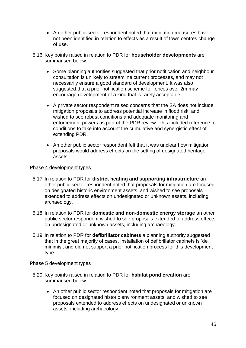- An other public sector respondent noted that mitigation measures have not been identified in relation to effects as a result of town centres change of use.
- 5.16 Key points raised in relation to PDR for **householder developments** are summarised below.
	- Some planning authorities suggested that prior notification and neighbour consultation is unlikely to streamline current processes, and may not necessarily ensure a good standard of development. It was also suggested that a prior notification scheme for fences over 2m may encourage development of a kind that is rarely acceptable.
	- A private sector respondent raised concerns that the SA does not include mitigation proposals to address potential increase in flood risk, and wished to see robust conditions and adequate monitoring and enforcement powers as part of the PDR review. This included reference to conditions to take into account the cumulative and synergistic effect of extending PDR.
	- An other public sector respondent felt that it was unclear how mitigation proposals would address effects on the setting of designated heritage assets.

#### Phase 4 development types

- 5.17 In relation to PDR for **district heating and supporting infrastructure** an other public sector respondent noted that proposals for mitigation are focused on designated historic environment assets, and wished to see proposals extended to address effects on undesignated or unknown assets, including archaeology.
- 5.18 In relation to PDR for **domestic and non-domestic energy storage** an other public sector respondent wished to see proposals extended to address effects on undesignated or unknown assets, including archaeology.
- 5.19 In relation to PDR for **defibrillator cabinets** a planning authority suggested that in the great majority of cases, installation of defibrillator cabinets is 'de minimis', and did not support a prior notification process for this development type.

#### Phase 5 development types

- 5.20 Key points raised in relation to PDR for **habitat pond creation** are summarised below.
	- An other public sector respondent noted that proposals for mitigation are focused on designated historic environment assets, and wished to see proposals extended to address effects on undesignated or unknown assets, including archaeology.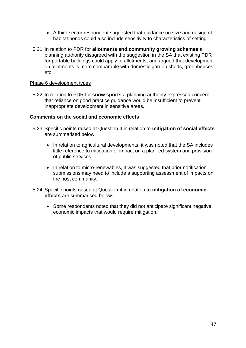- A third sector respondent suggested that guidance on size and design of habitat ponds could also include sensitivity to characteristics of setting.
- 5.21 In relation to PDR for **allotments and community growing schemes** a planning authority disagreed with the suggestion in the SA that existing PDR for portable buildings could apply to allotments, and argued that development on allotments is more comparable with domestic garden sheds, greenhouses, etc.

#### Phase 6 development types

5.22 In relation to PDR for **snow sports** a planning authority expressed concern that reliance on good practice guidance would be insufficient to prevent inappropriate development in sensitive areas.

#### **Comments on the social and economic effects**

- 5.23 Specific points raised at Question 4 in relation to **mitigation of social effects** are summarised below.
	- In relation to agricultural developments, it was noted that the SA includes little reference to mitigation of impact on a plan-led system and provision of public services.
	- In relation to micro-renewables, it was suggested that prior notification submissions may need to include a supporting assessment of impacts on the host community.
- 5.24 Specific points raised at Question 4 in relation to **mitigation of economic effects** are summarised below.
	- Some respondents noted that they did not anticipate significant negative economic impacts that would require mitigation.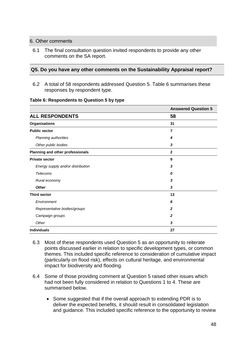#### 6. Other comments

6.1 The final consultation question invited respondents to provide any other comments on the SA report.

#### **Q5. Do you have any other comments on the Sustainability Appraisal report?**

6.2 A total of 58 respondents addressed Question 5. Table 6 summarises these responses by respondent type.

| Table 6: Respondents to Question 5 by type |  |
|--------------------------------------------|--|
|                                            |  |

|                                   | <b>Answered Question 5</b> |
|-----------------------------------|----------------------------|
| <b>ALL RESPONDENTS</b>            | 58                         |
| <b>Organisations</b>              | 31                         |
| <b>Public sector</b>              | $\overline{\mathbf{r}}$    |
| <b>Planning authorities</b>       | 4                          |
| Other public bodies               | 3                          |
| Planning and other professionals  | $\mathbf{2}$               |
| <b>Private sector</b>             | 9                          |
| Energy supply and/or distribution | 3                          |
| Telecoms                          | 0                          |
| Rural economy                     | 3                          |
| <b>Other</b>                      | 3                          |
| <b>Third sector</b>               | 13                         |
| Environment                       | 6                          |
| Representative bodies/groups      | $\mathbf{2}$               |
| Campaign groups                   | $\mathbf{2}$               |
| Other                             | 3                          |
| <b>Individuals</b>                | 27                         |

- 6.3 Most of these respondents used Question 5 as an opportunity to reiterate points discussed earlier in relation to specific development types, or common themes. This included specific reference to consideration of cumulative impact (particularly on flood risk), effects on cultural heritage, and environmental impact for biodiversity and flooding.
- 6.4 Some of those providing comment at Question 5 raised other issues which had not been fully considered in relation to Questions 1 to 4. These are summarised below.
	- Some suggested that if the overall approach to extending PDR is to deliver the expected benefits, it should result in consolidated legislation and guidance. This included specific reference to the opportunity to review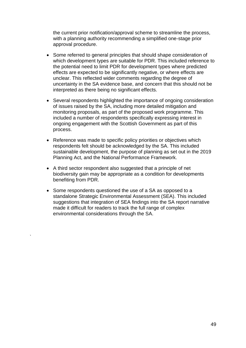the current prior notification/approval scheme to streamline the process, with a planning authority recommending a simplified one-stage prior approval procedure.

- Some referred to general principles that should shape consideration of which development types are suitable for PDR. This included reference to the potential need to limit PDR for development types where predicted effects are expected to be significantly negative, or where effects are unclear. This reflected wider comments regarding the degree of uncertainty in the SA evidence base, and concern that this should not be interpreted as there being no significant effects.
- Several respondents highlighted the importance of ongoing consideration of issues raised by the SA, including more detailed mitigation and monitoring proposals, as part of the proposed work programme. This included a number of respondents specifically expressing interest in ongoing engagement with the Scottish Government as part of this process.
- Reference was made to specific policy priorities or objectives which respondents felt should be acknowledged by the SA. This included sustainable development, the purpose of planning as set out in the 2019 Planning Act, and the National Performance Framework.
- A third sector respondent also suggested that a principle of net biodiversity gain may be appropriate as a condition for developments benefiting from PDR.
- Some respondents questioned the use of a SA as opposed to a standalone Strategic Environmental Assessment (SEA). This included suggestions that integration of SEA findings into the SA report narrative made it difficult for readers to track the full range of complex environmental considerations through the SA.

`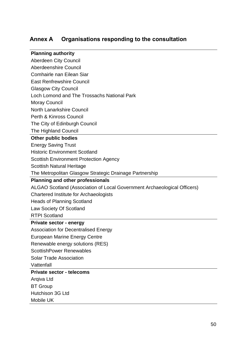#### **Annex A Organisations responding to the consultation**

#### **Planning authority**

Aberdeen City Council

Aberdeenshire Council

Comhairle nan Eilean Siar

East Renfrewshire Council

Glasgow City Council

Loch Lomond and The Trossachs National Park

Moray Council

North Lanarkshire Council

Perth & Kinross Council

The City of Edinburgh Council

The Highland Council

#### **Other public bodies**

Energy Saving Trust

Historic Environment Scotland

Scottish Environment Protection Agency

Scottish Natural Heritage

The Metropolitan Glasgow Strategic Drainage Partnership

#### **Planning and other professionals**

ALGAO Scotland (Association of Local Government Archaeological Officers)

Chartered Institute for Archaeologists

Heads of Planning Scotland

Law Society Of Scotland

RTPI Scotland

#### **Private sector - energy**

Association for Decentralised Energy

European Marine Energy Centre

Renewable energy solutions (RES)

ScottishPower Renewables

Solar Trade Association

Vattenfall

#### **Private sector - telecoms**

Arqiva Ltd BT Group Hutchison 3G Ltd

Mobile UK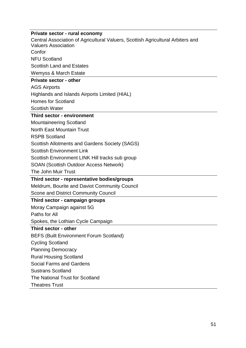#### **Private sector - rural economy** Central Association of Agricultural Valuers, Scottish Agricultural Arbiters and Valuers Association Confor NFU Scotland Scottish Land and Estates Wemyss & March Estate **Private sector - other** AGS Airports Highlands and Islands Airports Limited (HIAL) Homes for Scotland Scottish Water **Third sector - environment** Mountaineering Scotland North East Mountain Trust RSPB Scotland Scottish Allotments and Gardens Society (SAGS) Scottish Environment Link Scottish Environment LINK Hill tracks sub group SOAN (Scottish Outdoor Access Network) The John Muir Trust **Third sector - representative bodies/groups** Meldrum, Bourite and Daviot Community Council Scone and District Community Council **Third sector - campaign groups** Moray Campaign against 5G Paths for All Spokes, the Lothian Cycle Campaign **Third sector - other** BEFS (Built Environment Forum Scotland) Cycling Scotland Planning Democracy Rural Housing Scotland Social Farms and Gardens Sustrans Scotland The National Trust for Scotland Theatres Trust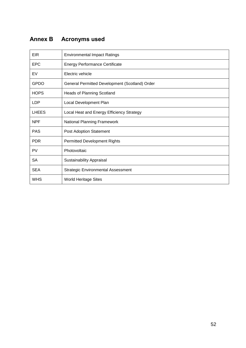### **Annex B Acronyms used**

| EIR          | <b>Environmental Impact Ratings</b>            |
|--------------|------------------------------------------------|
| <b>EPC</b>   | <b>Energy Performance Certificate</b>          |
| EV           | Electric vehicle                               |
| <b>GPDO</b>  | General Permitted Development (Scotland) Order |
| <b>HOPS</b>  | <b>Heads of Planning Scotland</b>              |
| <b>LDP</b>   | Local Development Plan                         |
| <b>LHEES</b> | Local Heat and Energy Efficiency Strategy      |
| <b>NPF</b>   | National Planning Framework                    |
| <b>PAS</b>   | Post Adoption Statement                        |
| <b>PDR</b>   | <b>Permitted Development Rights</b>            |
| <b>PV</b>    | Photovoltaic                                   |
| <b>SA</b>    | Sustainability Appraisal                       |
| <b>SEA</b>   | <b>Strategic Environmental Assessment</b>      |
| <b>WHS</b>   | <b>World Heritage Sites</b>                    |